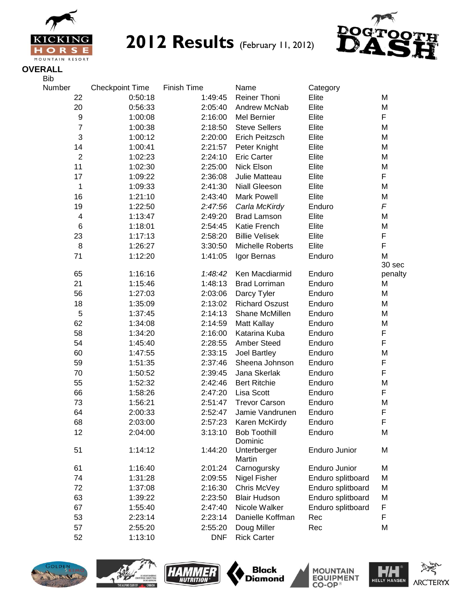

**EXIGNING 2012 Results** (February 11, 2012)



**OVERALL**

| <b>Bib</b>              |                        |             |                       |                      |            |
|-------------------------|------------------------|-------------|-----------------------|----------------------|------------|
| Number                  | <b>Checkpoint Time</b> | Finish Time | Name                  | Category             |            |
| 22                      | 0:50:18                | 1:49:45     | <b>Reiner Thoni</b>   | Elite                | M          |
| 20                      | 0:56:33                | 2:05:40     | Andrew McNab          | Elite                | M          |
| $\boldsymbol{9}$        | 1:00:08                | 2:16:00     | Mel Bernier           | Elite                | F          |
| $\overline{7}$          | 1:00:38                | 2:18:50     | <b>Steve Sellers</b>  | Elite                | M          |
| 3                       | 1:00:12                | 2:20:00     | Erich Peitzsch        | Elite                | M          |
| 14                      | 1:00:41                | 2:21:57     | Peter Knight          | Elite                | M          |
| $\overline{2}$          | 1:02:23                | 2:24:10     | <b>Eric Carter</b>    | Elite                | M          |
| 11                      | 1:02:30                | 2:25:00     | Nick Elson            | Elite                | M          |
| 17                      | 1:09:22                | 2:36:08     | Julie Matteau         | Elite                | F          |
| 1                       | 1:09:33                | 2:41:30     | <b>Niall Gleeson</b>  | Elite                | M          |
| 16                      | 1:21:10                | 2:43:40     | <b>Mark Powell</b>    | Elite                | M          |
| 19                      | 1:22:50                | 2:47:56     | Carla McKirdy         | Enduro               | $\sqrt{2}$ |
| $\overline{\mathbf{4}}$ | 1:13:47                | 2:49:20     | <b>Brad Lamson</b>    | Elite                | M          |
| 6                       | 1:18:01                | 2:54:45     | Katie French          | Elite                | M          |
| 23                      | 1:17:13                | 2:58:20     | <b>Billie Velisek</b> | Elite                | F          |
| 8                       | 1:26:27                | 3:30:50     | Michelle Roberts      | Elite                | F          |
| 71                      | 1:12:20                | 1:41:05     | Igor Bernas           | Enduro               | M          |
|                         |                        |             |                       |                      | 30 sec     |
| 65                      | 1:16:16                | 1:48:42     | Ken Macdiarmid        | Enduro               | penalty    |
| 21                      | 1:15:46                | 1:48:13     | <b>Brad Lorriman</b>  | Enduro               | M          |
| 56                      | 1:27:03                | 2:03:06     | Darcy Tyler           | Enduro               | M          |
| 18                      | 1:35:09                | 2:13:02     | <b>Richard Oszust</b> | Enduro               | M          |
| 5                       | 1:37:45                | 2:14:13     | Shane McMillen        | Enduro               | M          |
| 62                      | 1:34:08                | 2:14:59     | Matt Kallay           | Enduro               | M          |
| 58                      | 1:34:20                | 2:16:00     | Katarina Kuba         | Enduro               | F          |
| 54                      | 1:45:40                | 2:28:55     | <b>Amber Steed</b>    | Enduro               | F          |
| 60                      | 1:47:55                | 2:33:15     | Joel Bartley          | Enduro               | M          |
| 59                      | 1:51:35                | 2:37:46     | Sheena Johnson        | Enduro               | F          |
| 70                      | 1:50:52                | 2:39:45     | Jana Skerlak          | Enduro               | F          |
| 55                      | 1:52:32                | 2:42:46     | <b>Bert Ritchie</b>   | Enduro               | M          |
| 66                      | 1:58:26                | 2:47:20     | Lisa Scott            | Enduro               | F          |
| 73                      | 1:56:21                | 2:51:47     | <b>Trevor Carson</b>  | Enduro               | M          |
| 64                      | 2:00:33                | 2:52:47     | Jamie Vandrunen       | Enduro               | F          |
| 68                      | 2:03:00                | 2:57:23     | Karen McKirdy         | Enduro               | F          |
| 12                      | 2:04:00                | 3:13:10     | <b>Bob Toothill</b>   | Enduro               | M          |
|                         |                        |             | Dominic               |                      |            |
| 51                      | 1:14:12                | 1:44:20     | Unterberger<br>Martin | <b>Enduro Junior</b> | M          |
| 61                      | 1:16:40                | 2:01:24     | Carnogursky           | Enduro Junior        | M          |
| 74                      | 1:31:28                | 2:09:55     | Nigel Fisher          | Enduro splitboard    | M          |
| 72                      | 1:37:08                | 2:16:30     | Chris McVey           | Enduro splitboard    | M          |
| 63                      | 1:39:22                | 2:23:50     | <b>Blair Hudson</b>   | Enduro splitboard    | M          |
| 67                      | 1:55:40                | 2:47:40     | Nicole Walker         | Enduro splitboard    | F          |
| 53                      | 2:23:14                | 2:23:14     | Danielle Koffman      | Rec                  | F          |
| 57                      | 2:55:20                | 2:55:20     | Doug Miller           | Rec                  | M          |
| 52                      | 1:13:10                | <b>DNF</b>  | <b>Rick Carter</b>    |                      |            |











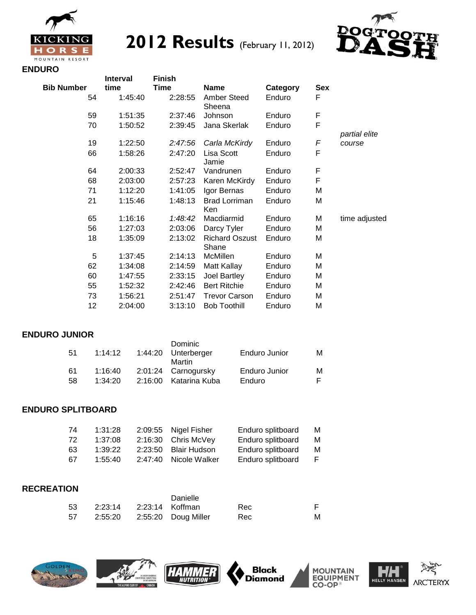

 **2012 Results** (February 11, 2012)



### **ENDURO**

|            | <b>Interval</b> | <b>Finish</b> |                                |          |            |               |
|------------|-----------------|---------------|--------------------------------|----------|------------|---------------|
| Bib Number | time            | Time          | <b>Name</b>                    | Category | <b>Sex</b> |               |
| 54         | 1:45:40         | 2:28:55       | Amber Steed<br>Sheena          | Enduro   | F          |               |
| 59         | 1:51:35         | 2:37:46       | Johnson                        | Enduro   | F          |               |
| 70         | 1:50:52         | 2:39:45       | Jana Skerlak                   | Enduro   | F          | partial elite |
| 19         | 1:22:50         | 2:47:56       | Carla McKirdy                  | Enduro   | F          | course        |
| 66         | 1:58:26         | 2:47:20       | Lisa Scott<br>Jamie            | Enduro   | F          |               |
| 64         | 2:00:33         | 2:52:47       | Vandrunen                      | Enduro   | F          |               |
| 68         | 2:03:00         | 2:57:23       | Karen McKirdy                  | Enduro   | F          |               |
| 71         | 1:12:20         | 1:41:05       | Igor Bernas                    | Enduro   | M          |               |
| 21         | 1:15:46         | 1:48:13       | <b>Brad Lorriman</b><br>Ken    | Enduro   | M          |               |
| 65         | 1:16:16         | 1:48:42       | Macdiarmid                     | Enduro   | M          | time adjusted |
| 56         | 1:27:03         | 2:03:06       | Darcy Tyler                    | Enduro   | M          |               |
| 18         | 1:35:09         | 2:13:02       | <b>Richard Oszust</b><br>Shane | Enduro   | M          |               |
| 5          | 1:37:45         | 2:14:13       | McMillen                       | Enduro   | M          |               |
| 62         | 1:34:08         | 2:14:59       | Matt Kallay                    | Enduro   | M          |               |
| 60         | 1:47:55         | 2:33:15       | Joel Bartley                   | Enduro   | M          |               |
| 55         | 1:52:32         | 2:42:46       | <b>Bert Ritchie</b>            | Enduro   | м          |               |
| 73         | 1:56:21         | 2:51:47       | <b>Trevor Carson</b>           | Enduro   | M          |               |
| 12         | 2:04:00         | 3:13:10       | <b>Bob Toothill</b>            | Enduro   | M          |               |

#### **ENDURO JUNIOR**

| 51 | 1:14:12 |         | <b>Dominic</b><br>1:44:20 Unterberger<br>Martin | Enduro Junior | м |
|----|---------|---------|-------------------------------------------------|---------------|---|
| 61 | 1:16:40 |         | 2:01:24 Carnogursky                             | Enduro Junior | м |
| 58 | 1:34:20 | 2:16:00 | Katarina Kuba                                   | Enduro        |   |

## **ENDURO SPLITBOARD**

| 74  | 1:31:28 | 2:09:55 Nigel Fisher  | Enduro splitboard | M |
|-----|---------|-----------------------|-------------------|---|
| -72 | 1:37:08 | 2:16:30 Chris McVey   | Enduro splitboard | м |
| -63 | 1:39:22 | 2:23:50 Blair Hudson  | Enduro splitboard | м |
| -67 | 1:55:40 | 2:47:40 Nicole Walker | Enduro splitboard | E |

### **RECREATION**

|     |  | Danielle                        |     |   |
|-----|--|---------------------------------|-----|---|
| -53 |  |                                 | Rec |   |
| -57 |  | 2:55:20   2:55:20   Doug Miller | Rec | м |